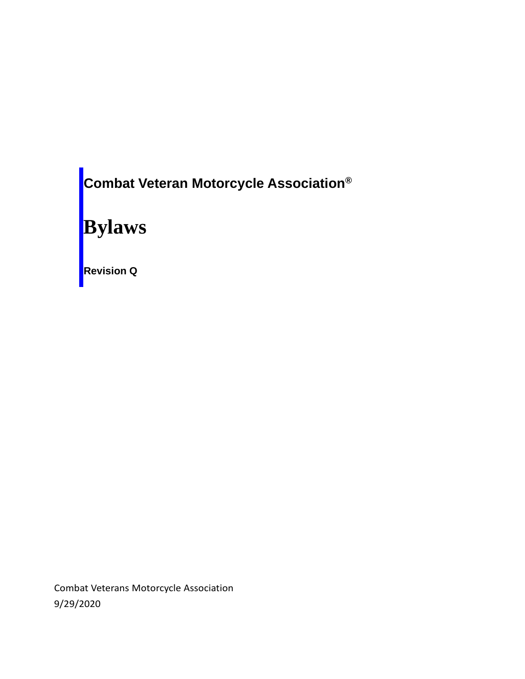**Combat Veteran Motorcycle Association®**

# **Bylaws**

**Revision Q**

Combat Veterans Motorcycle Association 9/29/2020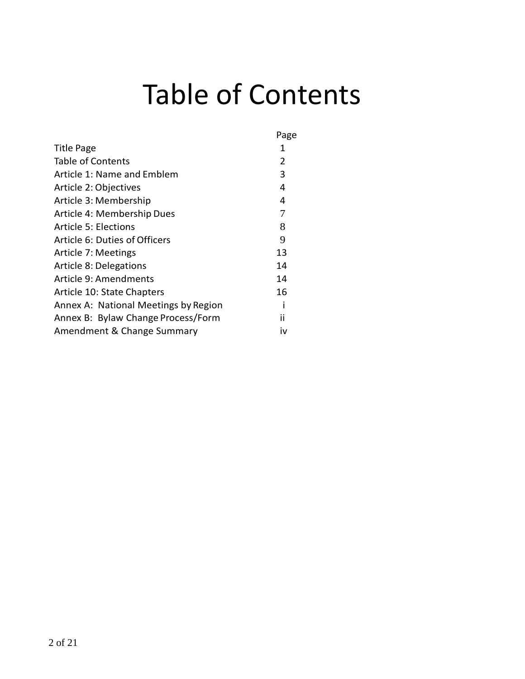# Table of Contents

|                                      | Page |  |
|--------------------------------------|------|--|
| Title Page                           | 1    |  |
| Table of Contents                    | 2    |  |
| Article 1: Name and Emblem           | 3    |  |
| Article 2: Objectives                | 4    |  |
| Article 3: Membership                | 4    |  |
| Article 4: Membership Dues           | 7    |  |
| Article 5: Elections                 | 8    |  |
| Article 6: Duties of Officers        | 9    |  |
| Article 7: Meetings                  | 13   |  |
| Article 8: Delegations               | 14   |  |
| Article 9: Amendments                | 14   |  |
| Article 10: State Chapters           | 16   |  |
| Annex A: National Meetings by Region |      |  |
| Annex B: Bylaw Change Process/Form   | ii   |  |
| Amendment & Change Summary           |      |  |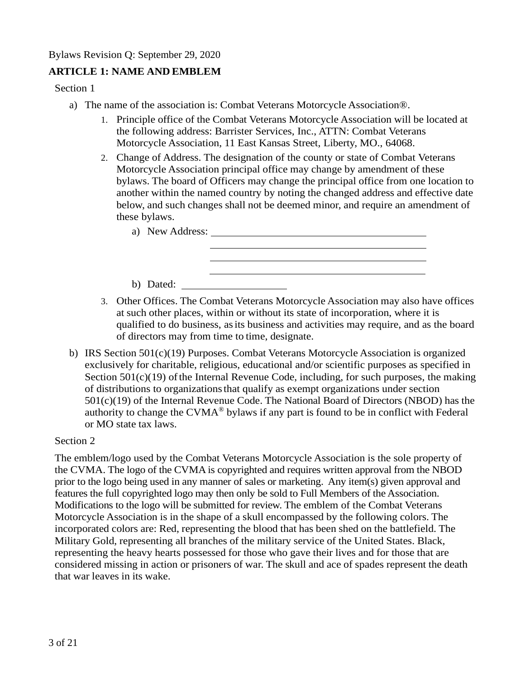## **ARTICLE 1: NAME AND EMBLEM**

Section 1

- a) The name of the association is: Combat Veterans Motorcycle Association®.
	- 1. Principle office of the Combat Veterans Motorcycle Association will be located at the following address: Barrister Services, Inc., ATTN: Combat Veterans Motorcycle Association, 11 East Kansas Street, Liberty, MO., 64068.
	- 2. Change of Address. The designation of the county or state of Combat Veterans Motorcycle Association principal office may change by amendment of these bylaws. The board of Officers may change the principal office from one location to another within the named country by noting the changed address and effective date below, and such changes shall not be deemed minor, and require an amendment of these bylaws.

| a) New Address: |  |
|-----------------|--|
|                 |  |
|                 |  |
|                 |  |
| b) Dated:       |  |

- 3. Other Offices. The Combat Veterans Motorcycle Association may also have offices at such other places, within or without its state of incorporation, where it is qualified to do business, asits business and activities may require, and as the board of directors may from time to time, designate.
- b) IRS Section 501(c)(19) Purposes. Combat Veterans Motorcycle Association is organized exclusively for charitable, religious, educational and/or scientific purposes as specified in Section  $501(c)(19)$  of the Internal Revenue Code, including, for such purposes, the making of distributions to organizationsthat qualify as exempt organizations under section 501(c)(19) of the Internal Revenue Code. The National Board of Directors (NBOD) has the authority to change the CVMA® bylaws if any part is found to be in conflict with Federal or MO state tax laws.

Section 2

The emblem/logo used by the Combat Veterans Motorcycle Association is the sole property of the CVMA. The logo of the CVMA is copyrighted and requires written approval from the NBOD prior to the logo being used in any manner of sales or marketing. Any item(s) given approval and features the full copyrighted logo may then only be sold to Full Members of the Association. Modifications to the logo will be submitted for review. The emblem of the Combat Veterans Motorcycle Association is in the shape of a skull encompassed by the following colors. The incorporated colors are: Red, representing the blood that has been shed on the battlefield. The Military Gold, representing all branches of the military service of the United States. Black, representing the heavy hearts possessed for those who gave their lives and for those that are considered missing in action or prisoners of war. The skull and ace of spades represent the death that war leaves in its wake.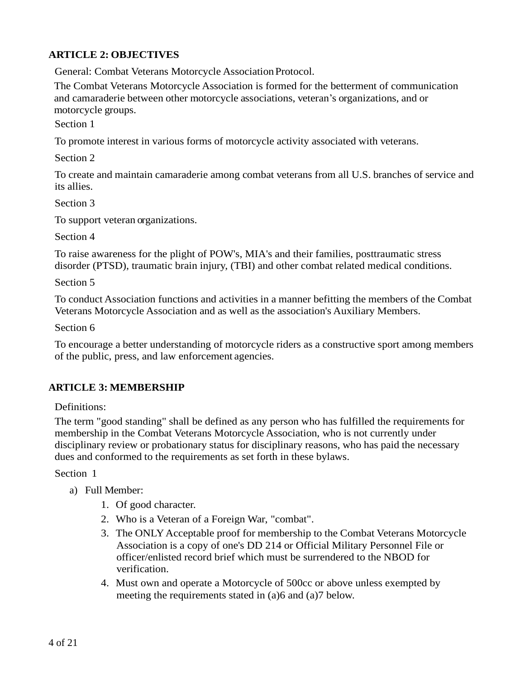#### **ARTICLE 2: OBJECTIVES**

General: Combat Veterans Motorcycle Association Protocol.

The Combat Veterans Motorcycle Association is formed for the betterment of communication and camaraderie between other motorcycle associations, veteran's organizations, and or motorcycle groups.

Section 1

To promote interest in various forms of motorcycle activity associated with veterans.

Section 2

To create and maintain camaraderie among combat veterans from all U.S. branches of service and its allies.

Section 3

To support veteran organizations.

Section 4

To raise awareness for the plight of POW's, MIA's and their families, posttraumatic stress disorder (PTSD), traumatic brain injury, (TBI) and other combat related medical conditions.

Section 5

To conduct Association functions and activities in a manner befitting the members of the Combat Veterans Motorcycle Association and as well as the association's Auxiliary Members.

Section 6

To encourage a better understanding of motorcycle riders as a constructive sport among members of the public, press, and law enforcement agencies.

#### **ARTICLE 3: MEMBERSHIP**

Definitions:

The term "good standing" shall be defined as any person who has fulfilled the requirements for membership in the Combat Veterans Motorcycle Association, who is not currently under disciplinary review or probationary status for disciplinary reasons, who has paid the necessary dues and conformed to the requirements as set forth in these bylaws.

Section 1

- a) Full Member:
	- 1. Of good character.
	- 2. Who is a Veteran of a Foreign War, "combat".
	- 3. The ONLY Acceptable proof for membership to the Combat Veterans Motorcycle Association is a copy of one's DD 214 or Official Military Personnel File or officer/enlisted record brief which must be surrendered to the NBOD for verification.
	- 4. Must own and operate a Motorcycle of 500cc or above unless exempted by meeting the requirements stated in (a)6 and (a)7 below.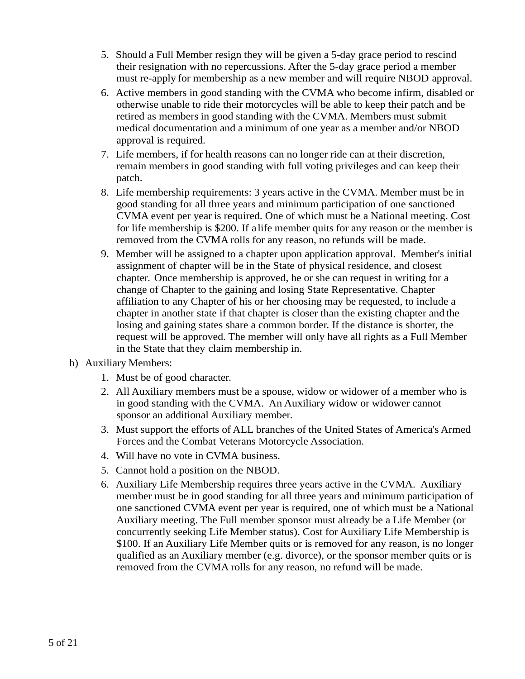- 5. Should a Full Member resign they will be given a 5-day grace period to rescind their resignation with no repercussions. After the 5-day grace period a member must re-apply for membership as a new member and will require NBOD approval.
- 6. Active members in good standing with the CVMA who become infirm, disabled or otherwise unable to ride their motorcycles will be able to keep their patch and be retired as members in good standing with the CVMA. Members must submit medical documentation and a minimum of one year as a member and/or NBOD approval is required.
- 7. Life members, if for health reasons can no longer ride can at their discretion, remain members in good standing with full voting privileges and can keep their patch.
- 8. Life membership requirements: 3 years active in the CVMA. Member must be in good standing for all three years and minimum participation of one sanctioned CVMA event per year is required. One of which must be a National meeting. Cost for life membership is \$200. If a life member quits for any reason or the member is removed from the CVMA rolls for any reason, no refunds will be made.
- 9. Member will be assigned to a chapter upon application approval. Member's initial assignment of chapter will be in the State of physical residence, and closest chapter. Once membership is approved, he or she can request in writing for a change of Chapter to the gaining and losing State Representative. Chapter affiliation to any Chapter of his or her choosing may be requested, to include a chapter in another state if that chapter is closer than the existing chapter and the losing and gaining states share a common border. If the distance is shorter, the request will be approved. The member will only have all rights as a Full Member in the State that they claim membership in.
- b) Auxiliary Members:
	- 1. Must be of good character.
	- 2. All Auxiliary members must be a spouse, widow or widower of a member who is in good standing with the CVMA. An Auxiliary widow or widower cannot sponsor an additional Auxiliary member.
	- 3. Must support the efforts of ALL branches of the United States of America's Armed Forces and the Combat Veterans Motorcycle Association.
	- 4. Will have no vote in CVMA business.
	- 5. Cannot hold a position on the NBOD.
	- 6. Auxiliary Life Membership requires three years active in the CVMA. Auxiliary member must be in good standing for all three years and minimum participation of one sanctioned CVMA event per year is required, one of which must be a National Auxiliary meeting. The Full member sponsor must already be a Life Member (or concurrently seeking Life Member status). Cost for Auxiliary Life Membership is \$100. If an Auxiliary Life Member quits or is removed for any reason, is no longer qualified as an Auxiliary member (e.g. divorce), or the sponsor member quits or is removed from the CVMA rolls for any reason, no refund will be made.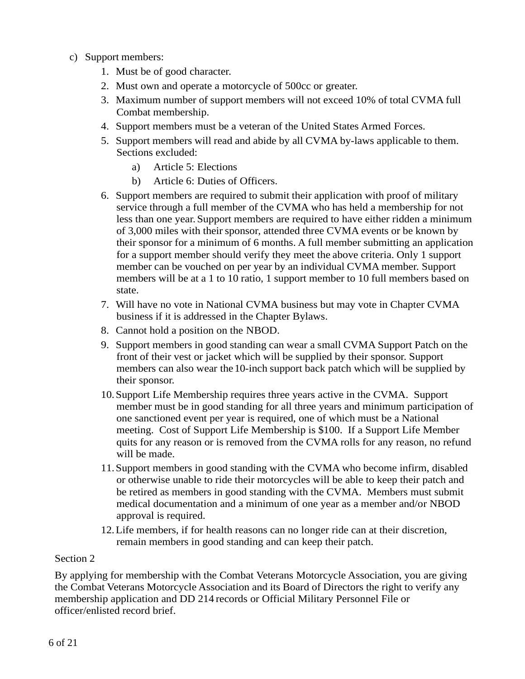- c) Support members:
	- 1. Must be of good character.
	- 2. Must own and operate a motorcycle of 500cc or greater.
	- 3. Maximum number of support members will not exceed 10% of total CVMA full Combat membership.
	- 4. Support members must be a veteran of the United States Armed Forces.
	- 5. Support members will read and abide by all CVMA by-laws applicable to them. Sections excluded:
		- a) Article 5: Elections
		- b) Article 6: Duties of Officers.
	- 6. Support members are required to submit their application with proof of military service through a full member of the CVMA who has held a membership for not less than one year. Support members are required to have either ridden a minimum of 3,000 miles with theirsponsor, attended three CVMA events or be known by their sponsor for a minimum of 6 months. A full member submitting an application for a support member should verify they meet the above criteria. Only 1 support member can be vouched on per year by an individual CVMA member. Support members will be at a 1 to 10 ratio, 1 support member to 10 full members based on state.
	- 7. Will have no vote in National CVMA business but may vote in Chapter CVMA business if it is addressed in the Chapter Bylaws.
	- 8. Cannot hold a position on the NBOD.
	- 9. Support members in good standing can wear a small CVMA Support Patch on the front of their vest or jacket which will be supplied by their sponsor. Support members can also wear the 10-inch support back patch which will be supplied by their sponsor.
	- 10.Support Life Membership requires three years active in the CVMA. Support member must be in good standing for all three years and minimum participation of one sanctioned event per year is required, one of which must be a National meeting. Cost of Support Life Membership is \$100. If a Support Life Member quits for any reason or is removed from the CVMA rolls for any reason, no refund will be made.
	- 11.Support members in good standing with the CVMA who become infirm, disabled or otherwise unable to ride their motorcycles will be able to keep their patch and be retired as members in good standing with the CVMA. Members must submit medical documentation and a minimum of one year as a member and/or NBOD approval is required.
	- 12.Life members, if for health reasons can no longer ride can at their discretion, remain members in good standing and can keep their patch.

By applying for membership with the Combat Veterans Motorcycle Association, you are giving the Combat Veterans Motorcycle Association and its Board of Directors the right to verify any membership application and DD 214 records or Official Military Personnel File or officer/enlisted record brief.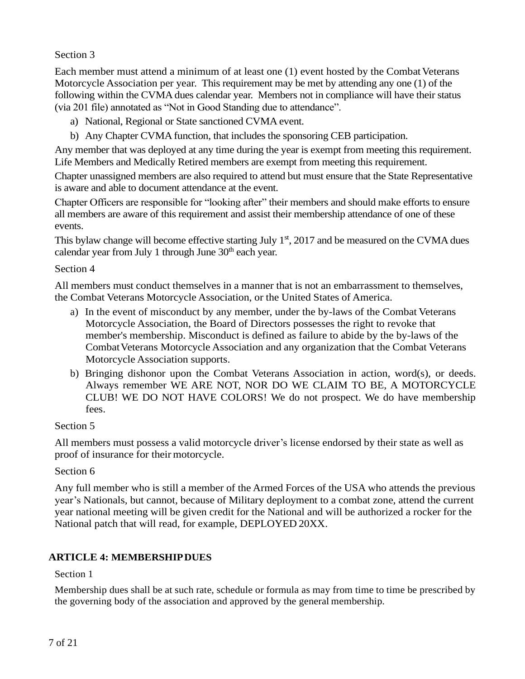Each member must attend a minimum of at least one (1) event hosted by the Combat Veterans Motorcycle Association per year. This requirement may be met by attending any one (1) of the following within the CVMA dues calendar year. Members not in compliance will have their status (via 201 file) annotated as "Not in Good Standing due to attendance".

- a) National, Regional or State sanctioned CVMA event.
- b) Any Chapter CVMA function, that includes the sponsoring CEB participation.

Any member that was deployed at any time during the year is exempt from meeting this requirement. Life Members and Medically Retired members are exempt from meeting this requirement.

Chapter unassigned members are also required to attend but must ensure that the State Representative is aware and able to document attendance at the event.

Chapter Officers are responsible for "looking after" their members and should make efforts to ensure all members are aware of this requirement and assist their membership attendance of one of these events.

This bylaw change will become effective starting July  $1<sup>st</sup>$ , 2017 and be measured on the CVMA dues calendar year from July 1 through June  $30<sup>th</sup>$  each year.

#### Section 4

All members must conduct themselves in a manner that is not an embarrassment to themselves, the Combat Veterans Motorcycle Association, or the United States of America.

- a) In the event of misconduct by any member, under the by-laws of the Combat Veterans Motorcycle Association, the Board of Directors possesses the right to revoke that member's membership. Misconduct is defined as failure to abide by the by-laws of the CombatVeterans Motorcycle Association and any organization that the Combat Veterans Motorcycle Association supports.
- b) Bringing dishonor upon the Combat Veterans Association in action, word(s), or deeds. Always remember WE ARE NOT, NOR DO WE CLAIM TO BE, A MOTORCYCLE CLUB! WE DO NOT HAVE COLORS! We do not prospect. We do have membership fees.

#### Section 5

All members must possess a valid motorcycle driver's license endorsed by their state as well as proof of insurance for their motorcycle.

#### Section 6

Any full member who is still a member of the Armed Forces of the USA who attends the previous year's Nationals, but cannot, because of Military deployment to a combat zone, attend the current year national meeting will be given credit for the National and will be authorized a rocker for the National patch that will read, for example, DEPLOYED 20XX.

#### **ARTICLE 4: MEMBERSHIPDUES**

#### Section 1

Membership dues shall be at such rate, schedule or formula as may from time to time be prescribed by the governing body of the association and approved by the general membership.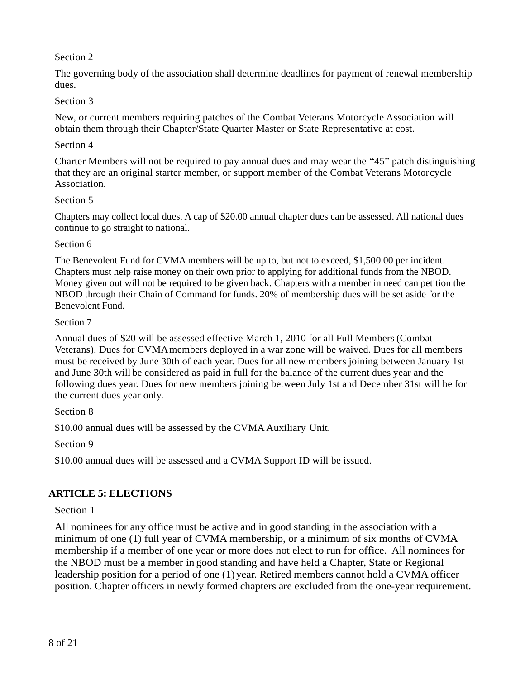The governing body of the association shall determine deadlines for payment of renewal membership dues.

#### Section 3

New, or current members requiring patches of the Combat Veterans Motorcycle Association will obtain them through their Chapter/State Quarter Master or State Representative at cost.

#### Section 4

Charter Members will not be required to pay annual dues and may wear the "45" patch distinguishing that they are an original starter member, or support member of the Combat Veterans Motorcycle Association.

#### Section 5

Chapters may collect local dues. A cap of \$20.00 annual chapter dues can be assessed. All national dues continue to go straight to national.

#### Section 6

The Benevolent Fund for CVMA members will be up to, but not to exceed, \$1,500.00 per incident. Chapters must help raise money on their own prior to applying for additional funds from the NBOD. Money given out will not be required to be given back. Chapters with a member in need can petition the NBOD through their Chain of Command for funds. 20% of membership dues will be set aside for the Benevolent Fund.

#### Section 7

Annual dues of \$20 will be assessed effective March 1, 2010 for all Full Members (Combat Veterans). Dues for CVMAmembers deployed in a war zone will be waived. Dues for all members must be received by June 30th of each year. Dues for all new members joining between January 1st and June 30th will be considered as paid in full for the balance of the current dues year and the following dues year. Dues for new members joining between July 1st and December 31st will be for the current dues year only.

Section 8

\$10.00 annual dues will be assessed by the CVMA Auxiliary Unit.

Section 9

\$10.00 annual dues will be assessed and a CVMA Support ID will be issued.

#### **ARTICLE 5: ELECTIONS**

#### Section 1

All nominees for any office must be active and in good standing in the association with a minimum of one (1) full year of CVMA membership, or a minimum of six months of CVMA membership if a member of one year or more does not elect to run for office. All nominees for the NBOD must be a member in good standing and have held a Chapter, State or Regional leadership position for a period of one (1) year. Retired members cannot hold a CVMA officer position. Chapter officers in newly formed chapters are excluded from the one-year requirement.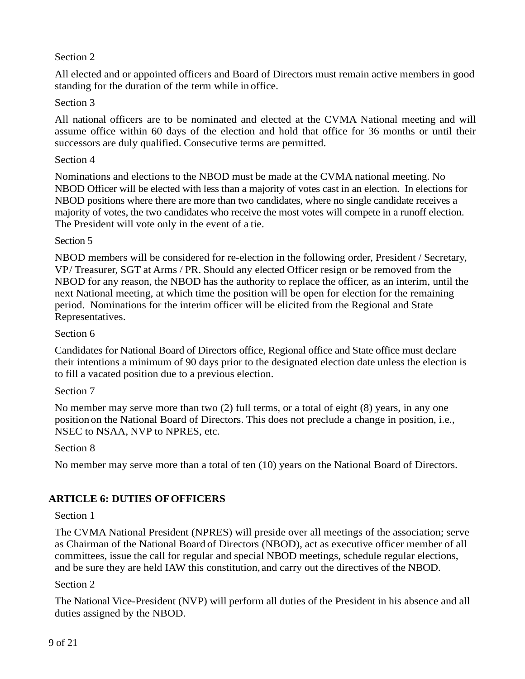All elected and or appointed officers and Board of Directors must remain active members in good standing for the duration of the term while in office.

#### Section 3

All national officers are to be nominated and elected at the CVMA National meeting and will assume office within 60 days of the election and hold that office for 36 months or until their successors are duly qualified. Consecutive terms are permitted.

#### Section 4

Nominations and elections to the NBOD must be made at the CVMA national meeting. No NBOD Officer will be elected with less than a majority of votes cast in an election. In elections for NBOD positions where there are more than two candidates, where no single candidate receives a majority of votes, the two candidates who receive the most votes will compete in a runoff election. The President will vote only in the event of a tie.

#### Section 5

NBOD members will be considered for re-election in the following order, President / Secretary, VP/ Treasurer, SGT at Arms / PR. Should any elected Officer resign or be removed from the NBOD for any reason, the NBOD has the authority to replace the officer, as an interim, until the next National meeting, at which time the position will be open for election for the remaining period. Nominations for the interim officer will be elicited from the Regional and State Representatives.

#### Section 6

Candidates for National Board of Directors office, Regional office and State office must declare their intentions a minimum of 90 days prior to the designated election date unless the election is to fill a vacated position due to a previous election.

#### Section 7

No member may serve more than two (2) full terms, or a total of eight (8) years, in any one position on the National Board of Directors. This does not preclude a change in position, i.e., NSEC to NSAA, NVP to NPRES, etc.

#### Section 8

No member may serve more than a total of ten (10) years on the National Board of Directors.

#### **ARTICLE 6: DUTIES OFOFFICERS**

#### Section 1

The CVMA National President (NPRES) will preside over all meetings of the association; serve as Chairman of the National Board of Directors (NBOD), act as executive officer member of all committees, issue the call for regular and special NBOD meetings, schedule regular elections, and be sure they are held IAW this constitution, and carry out the directives of the NBOD.

#### Section 2

The National Vice-President (NVP) will perform all duties of the President in his absence and all duties assigned by the NBOD.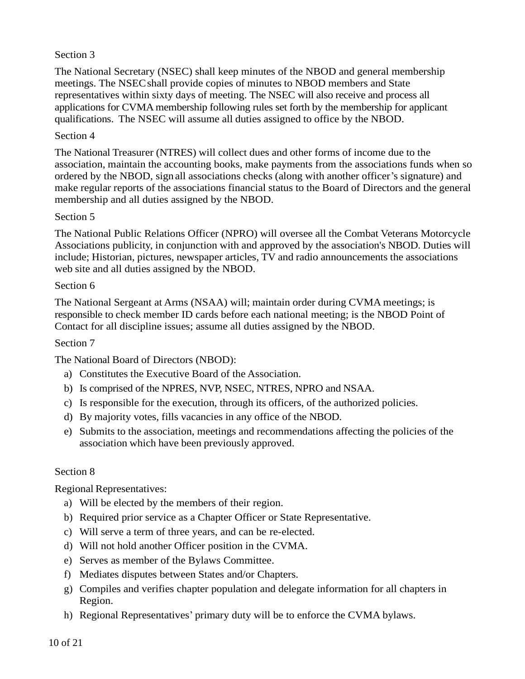The National Secretary (NSEC) shall keep minutes of the NBOD and general membership meetings. The NSECshall provide copies of minutes to NBOD members and State representatives within sixty days of meeting. The NSEC will also receive and process all applications for CVMA membership following rules set forth by the membership for applicant qualifications. The NSEC will assume all duties assigned to office by the NBOD.

#### Section 4

The National Treasurer (NTRES) will collect dues and other forms of income due to the association, maintain the accounting books, make payments from the associations funds when so ordered by the NBOD, sign all associations checks (along with another officer's signature) and make regular reports of the associations financial status to the Board of Directors and the general membership and all duties assigned by the NBOD.

#### Section 5

The National Public Relations Officer (NPRO) will oversee all the Combat Veterans Motorcycle Associations publicity, in conjunction with and approved by the association's NBOD. Duties will include; Historian, pictures, newspaper articles, TV and radio announcements the associations web site and all duties assigned by the NBOD.

#### Section 6

The National Sergeant at Arms (NSAA) will; maintain order during CVMA meetings; is responsible to check member ID cards before each national meeting; is the NBOD Point of Contact for all discipline issues; assume all duties assigned by the NBOD.

#### Section 7

The National Board of Directors (NBOD):

- a) Constitutes the Executive Board of the Association.
- b) Is comprised of the NPRES, NVP, NSEC, NTRES, NPRO and NSAA.
- c) Is responsible for the execution, through its officers, of the authorized policies.
- d) By majority votes, fills vacancies in any office of the NBOD.
- e) Submits to the association, meetings and recommendations affecting the policies of the association which have been previously approved.

#### Section 8

Regional Representatives:

- a) Will be elected by the members of their region.
- b) Required prior service as a Chapter Officer or State Representative.
- c) Will serve a term of three years, and can be re-elected.
- d) Will not hold another Officer position in the CVMA.
- e) Serves as member of the Bylaws Committee.
- f) Mediates disputes between States and/or Chapters.
- g) Compiles and verifies chapter population and delegate information for all chapters in Region.
- h) Regional Representatives' primary duty will be to enforce the CVMA bylaws.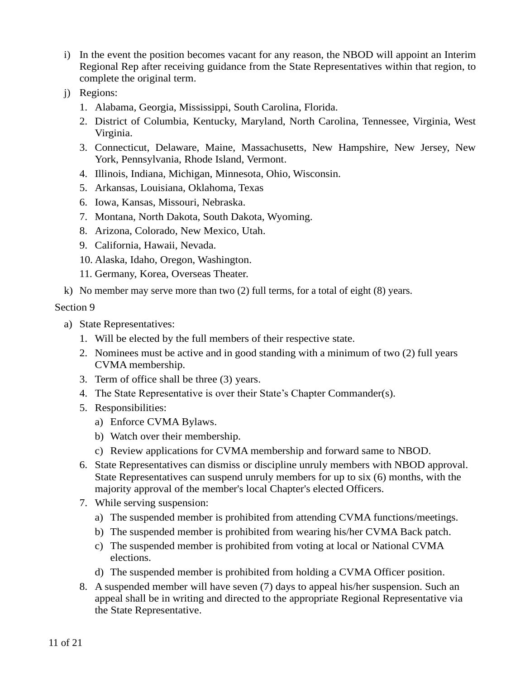- i) In the event the position becomes vacant for any reason, the NBOD will appoint an Interim Regional Rep after receiving guidance from the State Representatives within that region, to complete the original term.
- j) Regions:
	- 1. Alabama, Georgia, Mississippi, South Carolina, Florida.
	- 2. District of Columbia, Kentucky, Maryland, North Carolina, Tennessee, Virginia, West Virginia.
	- 3. Connecticut, Delaware, Maine, Massachusetts, New Hampshire, New Jersey, New York, Pennsylvania, Rhode Island, Vermont.
	- 4. Illinois, Indiana, Michigan, Minnesota, Ohio, Wisconsin.
	- 5. Arkansas, Louisiana, Oklahoma, Texas
	- 6. Iowa, Kansas, Missouri, Nebraska.
	- 7. Montana, North Dakota, South Dakota, Wyoming.
	- 8. Arizona, Colorado, New Mexico, Utah.
	- 9. California, Hawaii, Nevada.
	- 10. Alaska, Idaho, Oregon, Washington.
	- 11. Germany, Korea, Overseas Theater.
- k) No member may serve more than two (2) full terms, for a total of eight (8) years.

- a) State Representatives:
	- 1. Will be elected by the full members of their respective state.
	- 2. Nominees must be active and in good standing with a minimum of two (2) full years CVMA membership.
	- 3. Term of office shall be three (3) years.
	- 4. The State Representative is over their State's Chapter Commander(s).
	- 5. Responsibilities:
		- a) Enforce CVMA Bylaws.
		- b) Watch over their membership.
		- c) Review applications for CVMA membership and forward same to NBOD.
	- 6. State Representatives can dismiss or discipline unruly members with NBOD approval. State Representatives can suspend unruly members for up to six (6) months, with the majority approval of the member's local Chapter's elected Officers.
	- 7. While serving suspension:
		- a) The suspended member is prohibited from attending CVMA functions/meetings.
		- b) The suspended member is prohibited from wearing his/her CVMA Back patch.
		- c) The suspended member is prohibited from voting at local or National CVMA elections.
		- d) The suspended member is prohibited from holding a CVMA Officer position.
	- 8. A suspended member will have seven (7) days to appeal his/her suspension. Such an appeal shall be in writing and directed to the appropriate Regional Representative via the State Representative.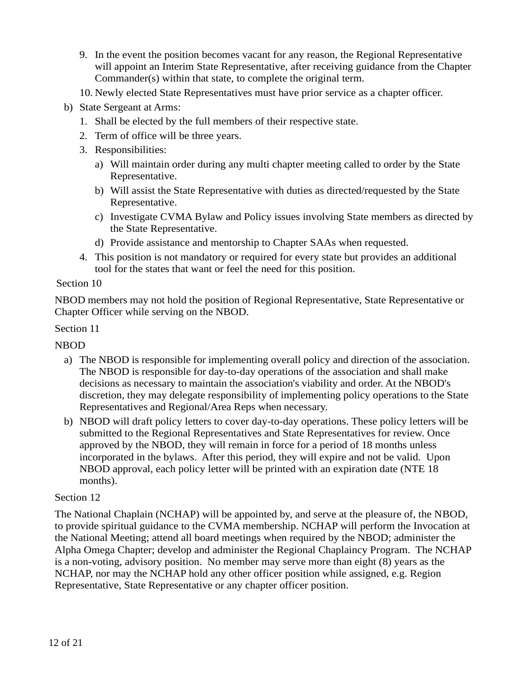- 9. In the event the position becomes vacant for any reason, the Regional Representative will appoint an Interim State Representative, after receiving guidance from the Chapter Commander(s) within that state, to complete the original term.
- 10. Newly elected State Representatives must have prior service as a chapter officer.
- b) State Sergeant at Arms:
	- 1. Shall be elected by the full members of their respective state.
	- 2. Term of office will be three years.
	- 3. Responsibilities:
		- a) Will maintain order during any multi chapter meeting called to order by the State Representative.
		- b) Will assist the State Representative with duties as directed/requested by the State Representative.
		- c) Investigate CVMA Bylaw and Policy issues involving State members as directed by the State Representative.
		- d) Provide assistance and mentorship to Chapter SAAs when requested.
	- 4. This position is not mandatory or required for every state but provides an additional tool for the states that want or feel the need for this position.

NBOD members may not hold the position of Regional Representative, State Representative or Chapter Officer while serving on the NBOD.

#### Section 11

#### NBOD

- a) The NBOD is responsible for implementing overall policy and direction of the association. The NBOD is responsible for day-to-day operations of the association and shall make decisions as necessary to maintain the association's viability and order. At the NBOD's discretion, they may delegate responsibility of implementing policy operations to the State Representatives and Regional/Area Reps when necessary.
- b) NBOD will draft policy letters to cover day-to-day operations. These policy letters will be submitted to the Regional Representatives and State Representatives for review. Once approved by the NBOD, they will remain in force for a period of 18 months unless incorporated in the bylaws. After this period, they will expire and not be valid. Upon NBOD approval, each policy letter will be printed with an expiration date (NTE 18 months).

#### Section 12

The National Chaplain (NCHAP) will be appointed by, and serve at the pleasure of, the NBOD, to provide spiritual guidance to the CVMA membership. NCHAP will perform the Invocation at the National Meeting; attend all board meetings when required by the NBOD; administer the Alpha Omega Chapter; develop and administer the Regional Chaplaincy Program. The NCHAP is a non-voting, advisory position. No member may serve more than eight (8) years as the NCHAP, nor may the NCHAP hold any other officer position while assigned, e.g. Region Representative, State Representative or any chapter officer position.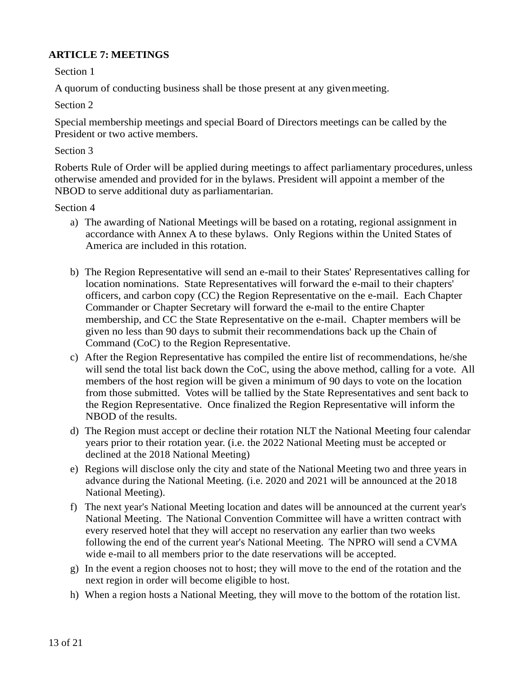#### **ARTICLE 7: MEETINGS**

Section 1

A quorum of conducting business shall be those present at any givenmeeting.

Section 2

Special membership meetings and special Board of Directors meetings can be called by the President or two active members.

#### Section 3

Roberts Rule of Order will be applied during meetings to affect parliamentary procedures, unless otherwise amended and provided for in the bylaws. President will appoint a member of the NBOD to serve additional duty as parliamentarian.

#### Section 4

- a) The awarding of National Meetings will be based on a rotating, regional assignment in accordance with Annex A to these bylaws. Only Regions within the United States of America are included in this rotation.
- b) The Region Representative will send an e-mail to their States' Representatives calling for location nominations. State Representatives will forward the e-mail to their chapters' officers, and carbon copy (CC) the Region Representative on the e-mail. Each Chapter Commander or Chapter Secretary will forward the e-mail to the entire Chapter membership, and CC the State Representative on the e-mail. Chapter members will be given no less than 90 days to submit their recommendations back up the Chain of Command (CoC) to the Region Representative.
- c) After the Region Representative has compiled the entire list of recommendations, he/she will send the total list back down the CoC, using the above method, calling for a vote. All members of the host region will be given a minimum of 90 days to vote on the location from those submitted. Votes will be tallied by the State Representatives and sent back to the Region Representative. Once finalized the Region Representative will inform the NBOD of the results.
- d) The Region must accept or decline their rotation NLT the National Meeting four calendar years prior to their rotation year. (i.e. the 2022 National Meeting must be accepted or declined at the 2018 National Meeting)
- e) Regions will disclose only the city and state of the National Meeting two and three years in advance during the National Meeting. (i.e. 2020 and 2021 will be announced at the 2018 National Meeting).
- f) The next year's National Meeting location and dates will be announced at the current year's National Meeting. The National Convention Committee will have a written contract with every reserved hotel that they will accept no reservation any earlier than two weeks following the end of the current year's National Meeting. The NPRO will send a CVMA wide e-mail to all members prior to the date reservations will be accepted.
- g) In the event a region chooses not to host; they will move to the end of the rotation and the next region in order will become eligible to host.
- h) When a region hosts a National Meeting, they will move to the bottom of the rotation list.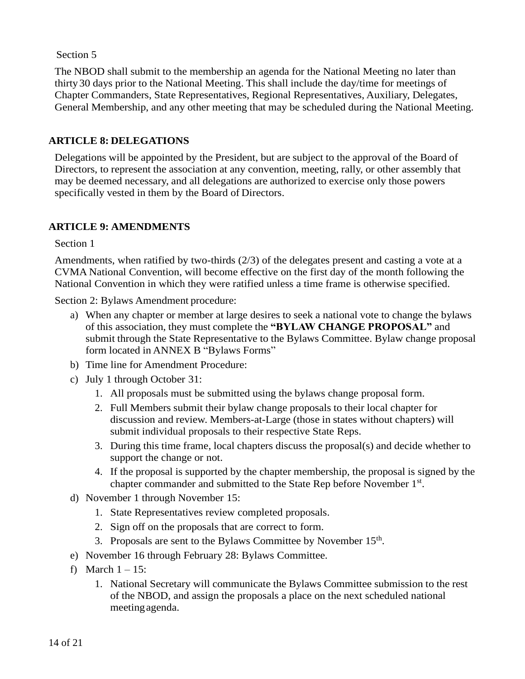The NBOD shall submit to the membership an agenda for the National Meeting no later than thirty30 days prior to the National Meeting. This shall include the day/time for meetings of Chapter Commanders, State Representatives, Regional Representatives, Auxiliary, Delegates, General Membership, and any other meeting that may be scheduled during the National Meeting.

#### **ARTICLE 8: DELEGATIONS**

Delegations will be appointed by the President, but are subject to the approval of the Board of Directors, to represent the association at any convention, meeting, rally, or other assembly that may be deemed necessary, and all delegations are authorized to exercise only those powers specifically vested in them by the Board of Directors.

#### **ARTICLE 9: AMENDMENTS**

Section 1

Amendments, when ratified by two-thirds (2/3) of the delegates present and casting a vote at a CVMA National Convention, will become effective on the first day of the month following the National Convention in which they were ratified unless a time frame is otherwise specified.

Section 2: Bylaws Amendment procedure:

- a) When any chapter or member at large desires to seek a national vote to change the bylaws of this association, they must complete the **"BYLAW CHANGE PROPOSAL"** and submit through the State Representative to the Bylaws Committee. Bylaw change proposal form located in ANNEX B "Bylaws Forms"
- b) Time line for Amendment Procedure:
- c) July 1 through October 31:
	- 1. All proposals must be submitted using the bylaws change proposal form.
	- 2. Full Members submit their bylaw change proposals to their local chapter for discussion and review. Members-at-Large (those in states without chapters) will submit individual proposals to their respective State Reps.
	- 3. During this time frame, local chapters discuss the proposal(s) and decide whether to support the change or not.
	- 4. If the proposal is supported by the chapter membership, the proposal is signed by the chapter commander and submitted to the State Rep before November 1<sup>st</sup>.
- d) November 1 through November 15:
	- 1. State Representatives review completed proposals.
	- 2. Sign off on the proposals that are correct to form.
	- 3. Proposals are sent to the Bylaws Committee by November  $15<sup>th</sup>$ .
- e) November 16 through February 28: Bylaws Committee.
- f) March  $1 15$ :
	- 1. National Secretary will communicate the Bylaws Committee submission to the rest of the NBOD, and assign the proposals a place on the next scheduled national meetingagenda.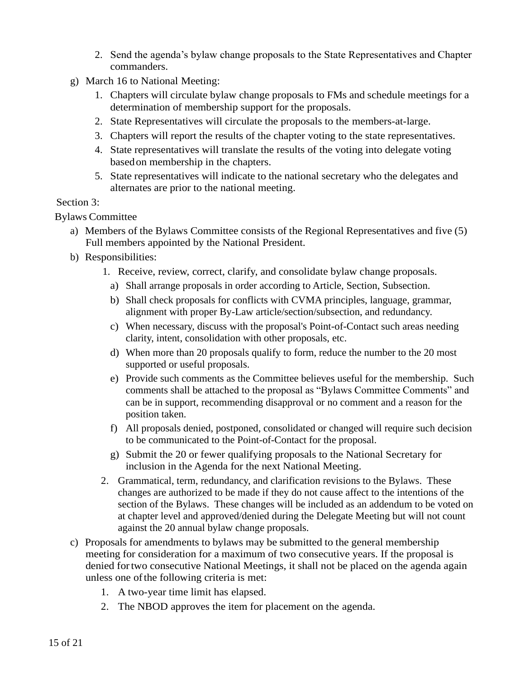- 2. Send the agenda's bylaw change proposals to the State Representatives and Chapter commanders.
- g) March 16 to National Meeting:
	- 1. Chapters will circulate bylaw change proposals to FMs and schedule meetings for a determination of membership support for the proposals.
	- 2. State Representatives will circulate the proposals to the members-at-large.
	- 3. Chapters will report the results of the chapter voting to the state representatives.
	- 4. State representatives will translate the results of the voting into delegate voting basedon membership in the chapters.
	- 5. State representatives will indicate to the national secretary who the delegates and alternates are prior to the national meeting.

#### Section 3:

Bylaws Committee

- a) Members of the Bylaws Committee consists of the Regional Representatives and five (5) Full members appointed by the National President.
- b) Responsibilities:
	- 1. Receive, review, correct, clarify, and consolidate bylaw change proposals.
		- a) Shall arrange proposals in order according to Article, Section, Subsection.
		- b) Shall check proposals for conflicts with CVMA principles, language, grammar, alignment with proper By-Law article/section/subsection, and redundancy.
		- c) When necessary, discuss with the proposal's Point-of-Contact such areas needing clarity, intent, consolidation with other proposals, etc.
		- d) When more than 20 proposals qualify to form, reduce the number to the 20 most supported or useful proposals.
		- e) Provide such comments as the Committee believes useful for the membership. Such comments shall be attached to the proposal as "Bylaws Committee Comments" and can be in support, recommending disapproval or no comment and a reason for the position taken.
		- f) All proposals denied, postponed, consolidated or changed will require such decision to be communicated to the Point-of-Contact for the proposal.
		- g) Submit the 20 or fewer qualifying proposals to the National Secretary for inclusion in the Agenda for the next National Meeting.
	- 2. Grammatical, term, redundancy, and clarification revisions to the Bylaws. These changes are authorized to be made if they do not cause affect to the intentions of the section of the Bylaws. These changes will be included as an addendum to be voted on at chapter level and approved/denied during the Delegate Meeting but will not count against the 20 annual bylaw change proposals.
- c) Proposals for amendments to bylaws may be submitted to the general membership meeting for consideration for a maximum of two consecutive years. If the proposal is denied fortwo consecutive National Meetings, it shall not be placed on the agenda again unless one ofthe following criteria is met:
	- 1. A two-year time limit has elapsed.
	- 2. The NBOD approves the item for placement on the agenda.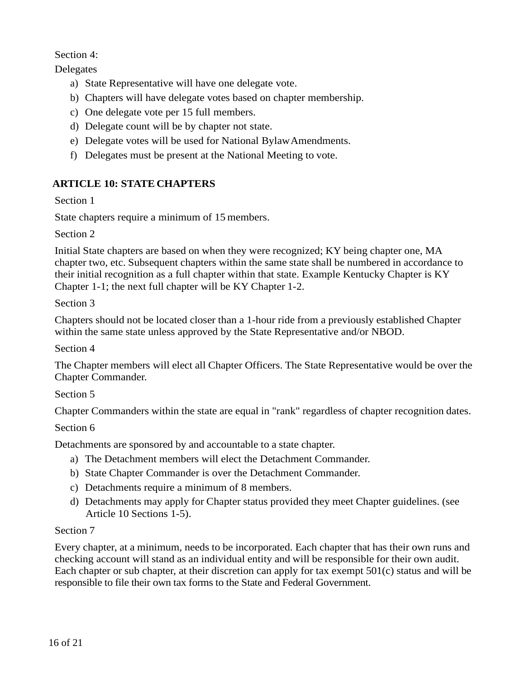#### Section 4:

Delegates

- a) State Representative will have one delegate vote.
- b) Chapters will have delegate votes based on chapter membership.
- c) One delegate vote per 15 full members.
- d) Delegate count will be by chapter not state.
- e) Delegate votes will be used for National BylawAmendments.
- f) Delegates must be present at the National Meeting to vote.

#### **ARTICLE 10: STATE CHAPTERS**

Section 1

State chapters require a minimum of 15 members.

Section 2

Initial State chapters are based on when they were recognized; KY being chapter one, MA chapter two, etc. Subsequent chapters within the same state shall be numbered in accordance to their initial recognition as a full chapter within that state. Example Kentucky Chapter is KY Chapter 1-1; the next full chapter will be KY Chapter 1-2.

Section 3

Chapters should not be located closer than a 1-hour ride from a previously established Chapter within the same state unless approved by the State Representative and/or NBOD.

Section 4

The Chapter members will elect all Chapter Officers. The State Representative would be over the Chapter Commander.

Section 5

Chapter Commanders within the state are equal in "rank" regardless of chapter recognition dates.

Section 6

Detachments are sponsored by and accountable to a state chapter.

- a) The Detachment members will elect the Detachment Commander.
- b) State Chapter Commander is over the Detachment Commander.
- c) Detachments require a minimum of 8 members.
- d) Detachments may apply for Chapter status provided they meet Chapter guidelines. (see Article 10 Sections 1-5).

#### Section 7

Every chapter, at a minimum, needs to be incorporated. Each chapter that has their own runs and checking account will stand as an individual entity and will be responsible for their own audit. Each chapter or sub chapter, at their discretion can apply for tax exempt 501(c) status and will be responsible to file their own tax forms to the State and Federal Government.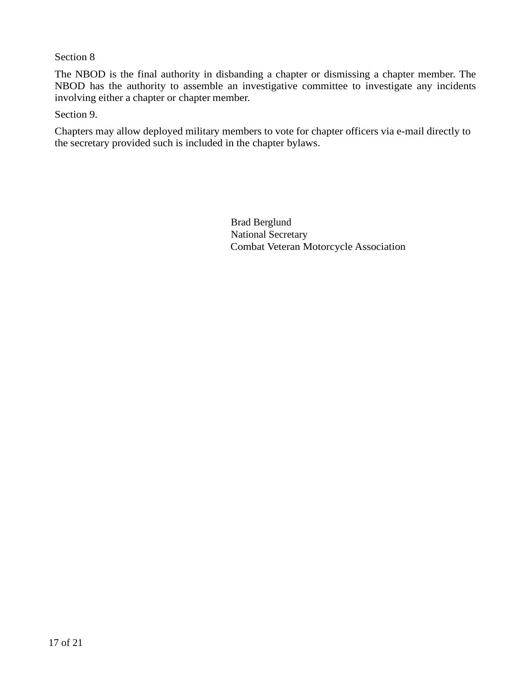The NBOD is the final authority in disbanding a chapter or dismissing a chapter member. The NBOD has the authority to assemble an investigative committee to investigate any incidents involving either a chapter or chapter member.

Section 9.

Chapters may allow deployed military members to vote for chapter officers via e-mail directly to the secretary provided such is included in the chapter bylaws.

> Brad Berglund National Secretary Combat Veteran Motorcycle Association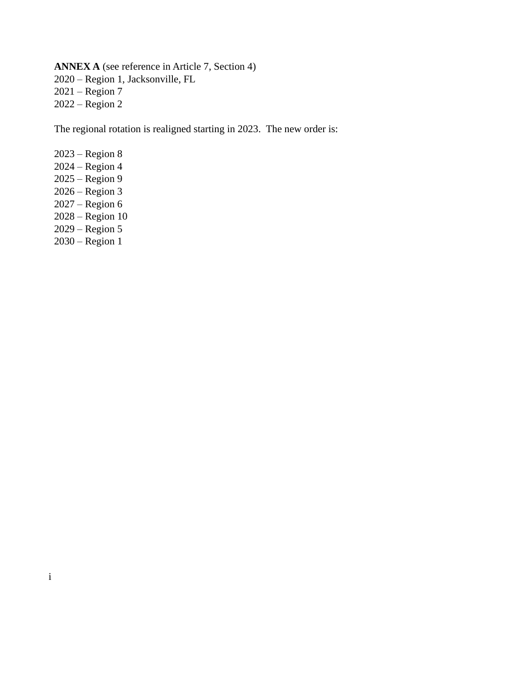**ANNEX A** (see reference in Article 7, Section 4) 2020 – Region 1, Jacksonville, FL 2021 – Region 7 2022 – Region 2

The regional rotation is realigned starting in 2023. The new order is:

2023 – Region 8 2024 – Region 4 2025 – Region 9 2026 – Region 3 2027 – Region 6 2028 – Region 10 2029 – Region 5 2030 – Region 1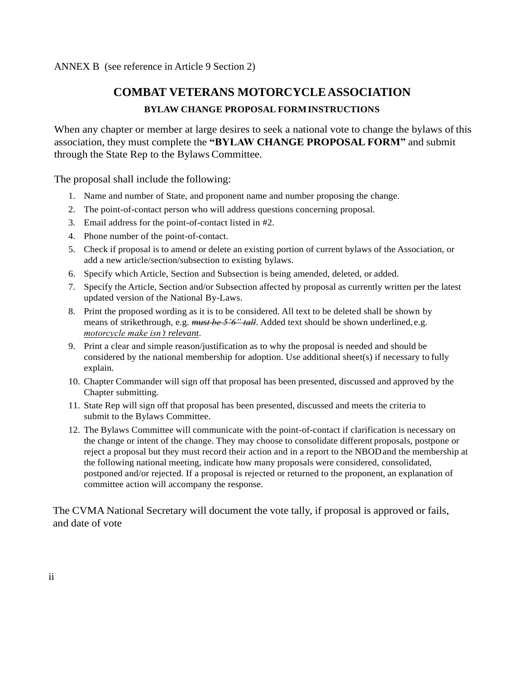ANNEX B (see reference in Article 9 Section 2)

### **COMBAT VETERANS MOTORCYCLEASSOCIATION**

#### **BYLAW CHANGE PROPOSAL FORMINSTRUCTIONS**

When any chapter or member at large desires to seek a national vote to change the bylaws of this association, they must complete the **"BYLAW CHANGE PROPOSAL FORM"** and submit through the State Rep to the Bylaws Committee.

The proposal shall include the following:

- 1. Name and number of State, and proponent name and number proposing the change.
- 2. The point-of-contact person who will address questions concerning proposal.
- 3. Email address for the point-of-contact listed in #2.
- 4. Phone number of the point-of-contact.
- 5. Check if proposal is to amend or delete an existing portion of current bylaws of the Association, or add a new article/section/subsection to existing bylaws.
- 6. Specify which Article, Section and Subsection is being amended, deleted, or added.
- 7. Specify the Article, Section and/or Subsection affected by proposal as currently written per the latest updated version of the National By-Laws.
- 8. Print the proposed wording as it is to be considered. All text to be deleted shall be shown by means of strikethrough, e.g. *must be 5'6" tall*. Added text should be shown underlined, e.g. *motorcycle make isn't relevant*.
- 9. Print a clear and simple reason/justification as to why the proposal is needed and should be considered by the national membership for adoption. Use additional sheet(s) if necessary to fully explain.
- 10. Chapter Commander will sign off that proposal has been presented, discussed and approved by the Chapter submitting.
- 11. State Rep will sign off that proposal has been presented, discussed and meets the criteria to submit to the Bylaws Committee.
- 12. The Bylaws Committee will communicate with the point-of-contact if clarification is necessary on the change or intent of the change. They may choose to consolidate different proposals, postpone or reject a proposal but they must record their action and in a report to the NBODand the membership at the following national meeting, indicate how many proposals were considered, consolidated, postponed and/or rejected. If a proposal is rejected or returned to the proponent, an explanation of committee action will accompany the response.

The CVMA National Secretary will document the vote tally, if proposal is approved or fails, and date of vote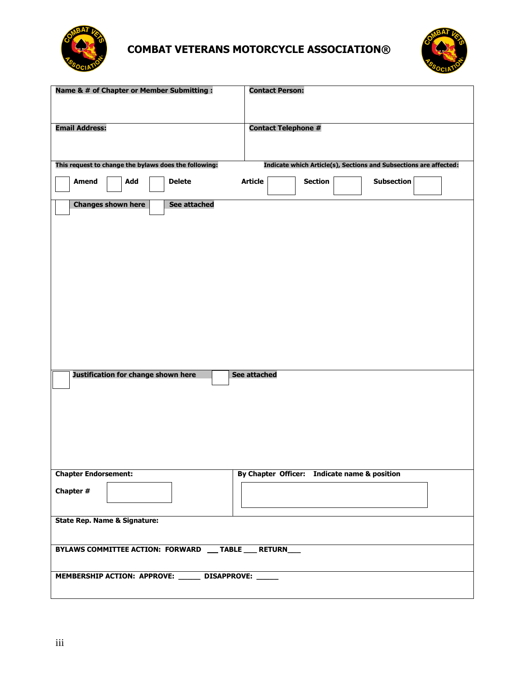

# **COMBAT VETERANS MOTORCYCLE ASSOCIATION®**



| Name & # of Chapter or Member Submitting :              | <b>Contact Person:</b>                                            |  |  |  |
|---------------------------------------------------------|-------------------------------------------------------------------|--|--|--|
| <b>Email Address:</b>                                   | <b>Contact Telephone #</b>                                        |  |  |  |
| This request to change the bylaws does the following:   | Indicate which Article(s), Sections and Subsections are affected: |  |  |  |
| <b>Delete</b><br><b>Amend</b><br>Add                    | <b>Article</b><br><b>Section</b><br><b>Subsection</b>             |  |  |  |
| <b>Changes shown here</b><br>See attached               |                                                                   |  |  |  |
|                                                         |                                                                   |  |  |  |
|                                                         |                                                                   |  |  |  |
|                                                         |                                                                   |  |  |  |
|                                                         |                                                                   |  |  |  |
|                                                         |                                                                   |  |  |  |
|                                                         |                                                                   |  |  |  |
| Justification for change shown here                     | See attached                                                      |  |  |  |
|                                                         |                                                                   |  |  |  |
|                                                         |                                                                   |  |  |  |
|                                                         |                                                                   |  |  |  |
| <b>Chapter Endorsement:</b>                             | By Chapter Officer: Indicate name & position                      |  |  |  |
| Chapter #                                               |                                                                   |  |  |  |
|                                                         |                                                                   |  |  |  |
| <b>State Rep. Name &amp; Signature:</b>                 |                                                                   |  |  |  |
| BYLAWS COMMITTEE ACTION: FORWARD __ TABLE ___ RETURN___ |                                                                   |  |  |  |
| MEMBERSHIP ACTION: APPROVE: ______ DISAPPROVE: ____     |                                                                   |  |  |  |